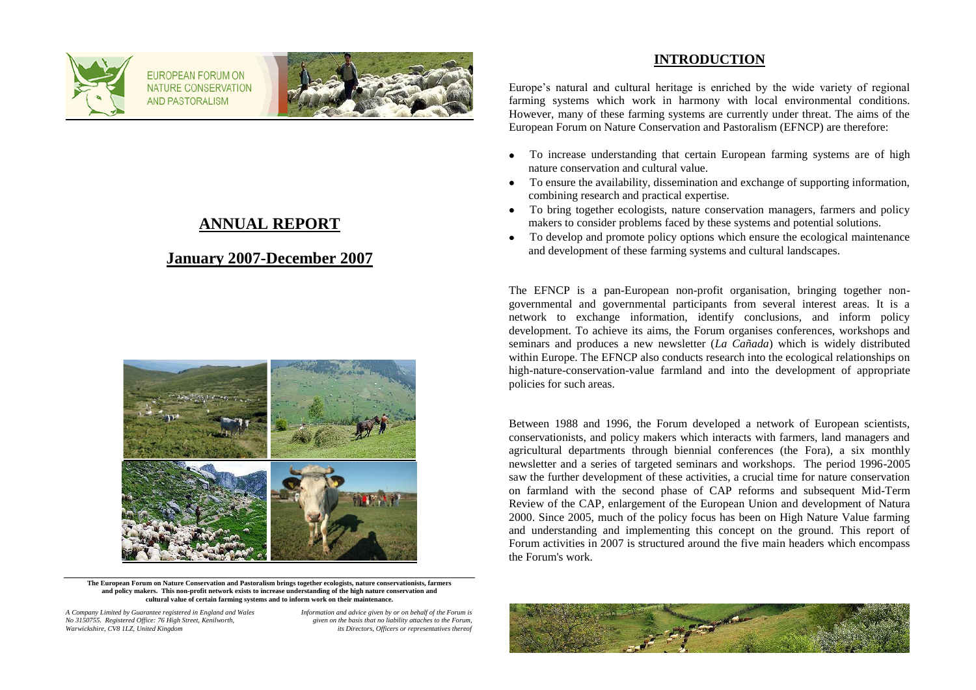

FUROPEAN FORUM ON NATURE CONSERVATION **AND PASTORALISM** 



# **ANNUAL REPORT**

## **January 2007-December 2007**



**The European Forum on Nature Conservation and Pastoralism brings together ecologists, nature conservationists, farmers and policy makers. This non-profit network exists to increase understanding of the high nature conservation and cultural value of certain farming systems and to inform work on their maintenance.**

*A Company Limited by Guarantee registered in England and Wales Information and advice given by or on behalf of the Forum is No 3150755. Registered Office: 76 High Street, Kenilworth, given on the basis that no liability attaches to the Forum,*

*its Directors, Officers or representatives thereof* 

### **INTRODUCTION**

Europe"s natural and cultural heritage is enriched by the wide variety of regional farming systems which work in harmony with local environmental conditions. However, many of these farming systems are currently under threat. The aims of the European Forum on Nature Conservation and Pastoralism (EFNCP) are therefore:

- To increase understanding that certain European farming systems are of high  $\bullet$ nature conservation and cultural value.
- To ensure the availability, dissemination and exchange of supporting information, combining research and practical expertise.
- To bring together ecologists, nature conservation managers, farmers and policy makers to consider problems faced by these systems and potential solutions.
- To develop and promote policy options which ensure the ecological maintenance  $\bullet$ and development of these farming systems and cultural landscapes.

The EFNCP is a pan-European non-profit organisation, bringing together nongovernmental and governmental participants from several interest areas. It is a network to exchange information, identify conclusions, and inform policy development. To achieve its aims, the Forum organises conferences, workshops and seminars and produces a new newsletter (*La Cañada*) which is widely distributed within Europe. The EFNCP also conducts research into the ecological relationships on high-nature-conservation-value farmland and into the development of appropriate policies for such areas.

Between 1988 and 1996, the Forum developed a network of European scientists, conservationists, and policy makers which interacts with farmers, land managers and agricultural departments through biennial conferences (the Fora), a six monthly newsletter and a series of targeted seminars and workshops. The period 1996-2005 saw the further development of these activities, a crucial time for nature conservation on farmland with the second phase of CAP reforms and subsequent Mid-Term Review of the CAP, enlargement of the European Union and development of Natura 2000. Since 2005, much of the policy focus has been on High Nature Value farming and understanding and implementing this concept on the ground. This report of Forum activities in 2007 is structured around the five main headers which encompass the Forum's work.

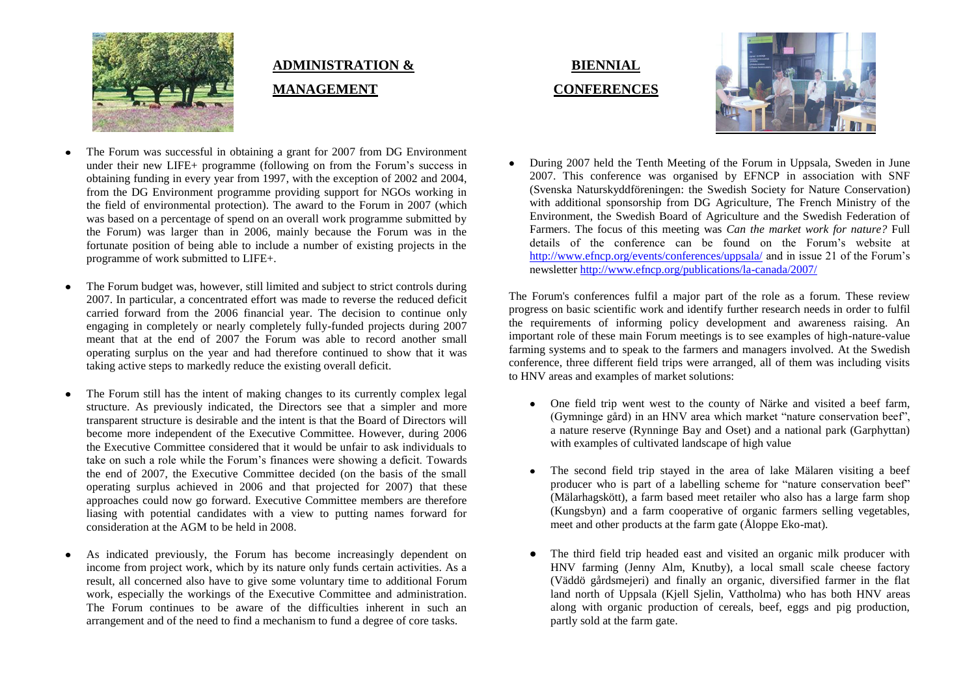

# **ADMINISTRATION & MANAGEMENT**

- The Forum was successful in obtaining a grant for 2007 from DG Environment under their new LIFE+ programme (following on from the Forum's success in obtaining funding in every year from 1997, with the exception of 2002 and 2004, from the DG Environment programme providing support for NGOs working in the field of environmental protection). The award to the Forum in 2007 (which was based on a percentage of spend on an overall work programme submitted by the Forum) was larger than in 2006, mainly because the Forum was in the fortunate position of being able to include a number of existing projects in the programme of work submitted to LIFE+.
- The Forum budget was, however, still limited and subject to strict controls during 2007. In particular, a concentrated effort was made to reverse the reduced deficit carried forward from the 2006 financial year. The decision to continue only engaging in completely or nearly completely fully-funded projects during 2007 meant that at the end of 2007 the Forum was able to record another small operating surplus on the year and had therefore continued to show that it was taking active steps to markedly reduce the existing overall deficit.
- The Forum still has the intent of making changes to its currently complex legal  $\bullet$ structure. As previously indicated, the Directors see that a simpler and more transparent structure is desirable and the intent is that the Board of Directors will become more independent of the Executive Committee. However, during 2006 the Executive Committee considered that it would be unfair to ask individuals to take on such a role while the Forum"s finances were showing a deficit. Towards the end of 2007, the Executive Committee decided (on the basis of the small operating surplus achieved in 2006 and that projected for 2007) that these approaches could now go forward. Executive Committee members are therefore liasing with potential candidates with a view to putting names forward for consideration at the AGM to be held in 2008.
- As indicated previously, the Forum has become increasingly dependent on income from project work, which by its nature only funds certain activities. As a result, all concerned also have to give some voluntary time to additional Forum work, especially the workings of the Executive Committee and administration. The Forum continues to be aware of the difficulties inherent in such an arrangement and of the need to find a mechanism to fund a degree of core tasks.





During 2007 held the Tenth Meeting of the Forum in Uppsala, Sweden in June 2007. This conference was organised by EFNCP in association with SNF (Svenska Naturskyddföreningen: the Swedish Society for Nature Conservation) with additional sponsorship from DG Agriculture, The French Ministry of the Environment, the Swedish Board of Agriculture and the Swedish Federation of Farmers. The focus of this meeting was *Can the market work for nature?* Full details of the conference can be found on the Forum"s website at <http://www.efncp.org/events/conferences/uppsala/> and in issue 21 of the Forum"s newslette[r http://www.efncp.org/publications/la-canada/2007/](http://www.efncp.org/publications/la-canada/2007/)

The Forum's conferences fulfil a major part of the role as a forum. These review progress on basic scientific work and identify further research needs in order to fulfil the requirements of informing policy development and awareness raising. An important role of these main Forum meetings is to see examples of high-nature-value farming systems and to speak to the farmers and managers involved. At the Swedish conference, three different field trips were arranged, all of them was including visits to HNV areas and examples of market solutions:

- One field trip went west to the county of Närke and visited a beef farm, (Gymninge gård) in an HNV area which market "nature conservation beef", a nature reserve (Rynninge Bay and Oset) and a national park (Garphyttan) with examples of cultivated landscape of high value
- The second field trip stayed in the area of lake Mälaren visiting a beef producer who is part of a labelling scheme for "nature conservation beef" (Mälarhagskött), a farm based meet retailer who also has a large farm shop (Kungsbyn) and a farm cooperative of organic farmers selling vegetables, meet and other products at the farm gate (Åloppe Eko-mat).
- The third field trip headed east and visited an organic milk producer with HNV farming (Jenny Alm, Knutby), a local small scale cheese factory (Väddö gårdsmejeri) and finally an organic, diversified farmer in the flat land north of Uppsala (Kiell Sielin, Vattholma) who has both HNV areas along with organic production of cereals, beef, eggs and pig production, partly sold at the farm gate.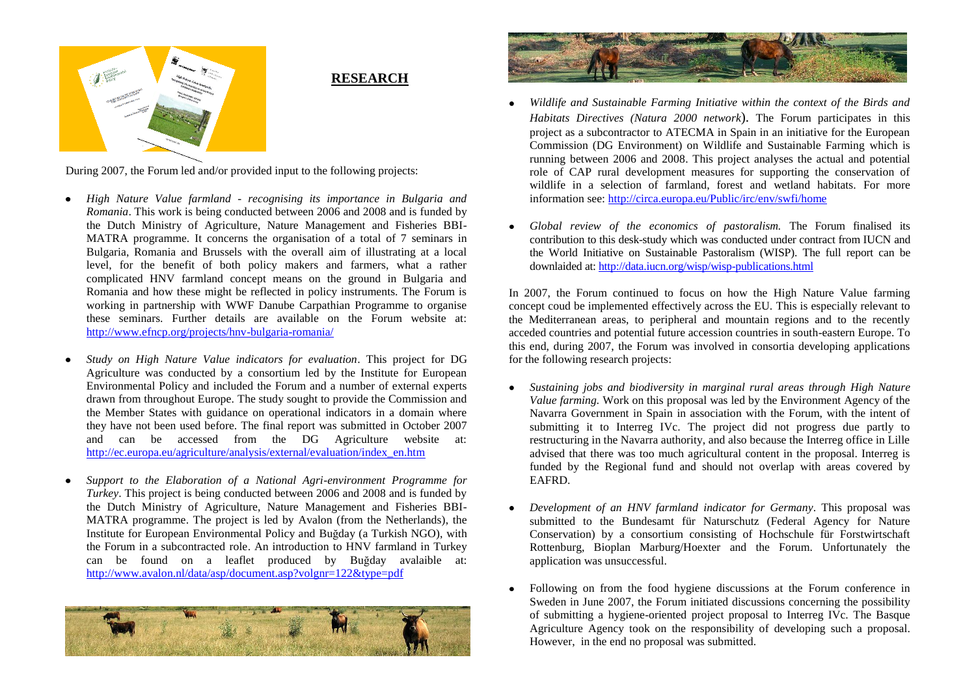

### **RESEARCH**

During 2007, the Forum led and/or provided input to the following projects:

- *High Nature Value farmland - recognising its importance in Bulgaria and Romania*. This work is being conducted between 2006 and 2008 and is funded by the Dutch Ministry of Agriculture, Nature Management and Fisheries BBI-MATRA programme. It concerns the organisation of a total of 7 seminars in Bulgaria, Romania and Brussels with the overall aim of illustrating at a local level, for the benefit of both policy makers and farmers, what a rather complicated HNV farmland concept means on the ground in Bulgaria and Romania and how these might be reflected in policy instruments. The Forum is working in partnership with WWF Danube Carpathian Programme to organise these seminars. Further details are available on the Forum website at: <http://www.efncp.org/projects/hnv-bulgaria-romania/>
- *Study on High Nature Value indicators for evaluation*. This project for DG Agriculture was conducted by a consortium led by the Institute for European Environmental Policy and included the Forum and a number of external experts drawn from throughout Europe. The study sought to provide the Commission and the Member States with guidance on operational indicators in a domain where they have not been used before. The final report was submitted in October 2007 and can be accessed from the DG Agriculture website at: [http://ec.europa.eu/agriculture/analysis/external/evaluation/index\\_en.htm](http://ec.europa.eu/agriculture/analysis/external/evaluation/index_en.htm)
- *Support to the Elaboration of a National Agri-environment Programme for Turkey*. This project is being conducted between 2006 and 2008 and is funded by the Dutch Ministry of Agriculture, Nature Management and Fisheries BBI-MATRA programme. The project is led by Avalon (from the Netherlands), the Institute for European Environmental Policy and Buğday (a Turkish NGO), with the Forum in a subcontracted role. An introduction to HNV farmland in Turkey can be found on a leaflet produced by Buğday avalaible at: <http://www.avalon.nl/data/asp/document.asp?volgnr=122&type=pdf>





- *Wildlife and Sustainable Farming Initiative within the context of the Birds and Habitats Directives (Natura 2000 network*). The Forum participates in this project as a subcontractor to ATECMA in Spain in an initiative for the European Commission (DG Environment) on Wildlife and Sustainable Farming which is running between 2006 and 2008. This project analyses the actual and potential role of CAP rural development measures for supporting the conservation of wildlife in a selection of farmland, forest and wetland habitats. For more information see:<http://circa.europa.eu/Public/irc/env/swfi/home>
- *Global review of the economics of pastoralism.* The Forum finalised its contribution to this desk-study which was conducted under contract from IUCN and the World Initiative on Sustainable Pastoralism (WISP). The full report can be downlaided at[: http://data.iucn.org/wisp/wisp-publications.html](http://data.iucn.org/wisp/wisp-publications.html)

In 2007, the Forum continued to focus on how the High Nature Value farming concept coud be implemented effectively across the EU. This is especially relevant to the Mediterranean areas, to peripheral and mountain regions and to the recently acceded countries and potential future accession countries in south-eastern Europe. To this end, during 2007, the Forum was involved in consortia developing applications for the following research projects:

- *Sustaining jobs and biodiversity in marginal rural areas through High Nature Value farming.* Work on this proposal was led by the Environment Agency of the Navarra Government in Spain in association with the Forum, with the intent of submitting it to Interreg IVc. The project did not progress due partly to restructuring in the Navarra authority, and also because the Interreg office in Lille advised that there was too much agricultural content in the proposal. Interreg is funded by the Regional fund and should not overlap with areas covered by EAFRD.
- *Development of an HNV farmland indicator for Germany*. This proposal was submitted to the Bundesamt für Naturschutz (Federal Agency for Nature Conservation) by a consortium consisting of Hochschule für Forstwirtschaft Rottenburg, Bioplan Marburg/Hoexter and the Forum. Unfortunately the application was unsuccessful.
- Following on from the food hygiene discussions at the Forum conference in Sweden in June 2007, the Forum initiated discussions concerning the possibility of submitting a hygiene-oriented project proposal to Interreg IVc. The Basque Agriculture Agency took on the responsibility of developing such a proposal. However, in the end no proposal was submitted.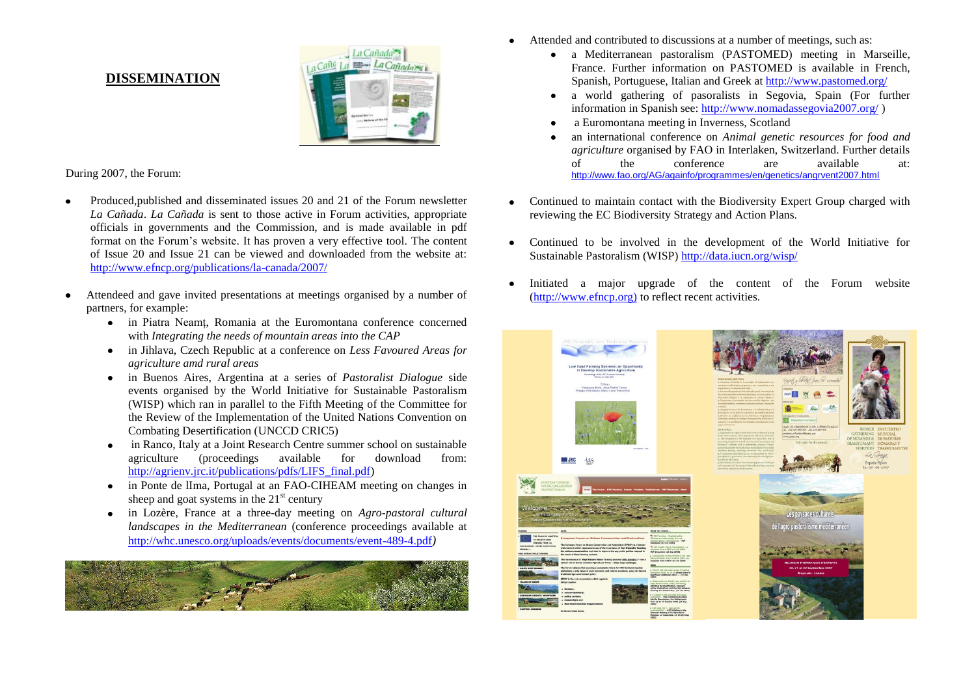#### **DISSEMINATION**



During 2007, the Forum:

- Produced,published and disseminated issues 20 and 21 of the Forum newsletter *La Cañada*. *La Cañada* is sent to those active in Forum activities, appropriate officials in governments and the Commission, and is made available in pdf format on the Forum"s website. It has proven a very effective tool. The content of Issue 20 and Issue 21 can be viewed and downloaded from the website at: <http://www.efncp.org/publications/la-canada/2007/>
- Attendeed and gave invited presentations at meetings organised by a number of partners, for example:
	- in Piatra Neamţ, Romania at the Euromontana conference concerned with *Integrating the needs of mountain areas into the CAP*
	- in Jihlava, Czech Republic at a conference on *Less Favoured Areas for*   $\bullet$ *agriculture amd rural areas*
	- in Buenos Aires, Argentina at a series of *Pastoralist Dialogue* side  $\bullet$ events organised by the World Initiative for Sustainable Pastoralism (WISP) which ran in parallel to the Fifth Meeting of the Committee for the Review of the Implementation of the United Nations Convention on Combating Desertification (UNCCD CRIC5)
	- in Ranco, Italy at a Joint Research Centre summer school on sustainable  $\bullet$ agriculture (proceedings available for download from: [http://agrienv.jrc.it/publications/pdfs/LIFS\\_final.pdf\)](http://agrienv.jrc.it/publications/pdfs/LIFS_final.pdf)
	- in Ponte de lIma, Portugal at an FAO-CIHEAM meeting on changes in  $\bullet$ sheep and goat systems in the  $21<sup>st</sup>$  century
	- in Lozère, France at a three-day meeting on *Agro-pastoral cultural*   $\bullet$ *landscapes in the Mediterranean* (conference proceedings available at <http://whc.unesco.org/uploads/events/documents/event-489-4.pdf>*)*



- Attended and contributed to discussions at a number of meetings, such as:
	- a Mediterranean pastoralism (PASTOMED) meeting in Marseille,  $\bullet$ France. Further information on PASTOMED is available in French, Spanish, Portuguese, Italian and Greek a[t http://www.pastomed.org/](http://www.pastomed.org/)
	- a world gathering of pasoralists in Segovia, Spain (For further  $\bullet$ information in Spanish see:<http://www.nomadassegovia2007.org/> )
	- a Euromontana meeting in Inverness, Scotland
	- an international conference on *Animal genetic resources for food and agriculture* organised by FAO in Interlaken, Switzerland. Further details of the conference are available at: <http://www.fao.org/AG/againfo/programmes/en/genetics/angrvent2007.html>
- Continued to maintain contact with the Biodiversity Expert Group charged with reviewing the EC Biodiversity Strategy and Action Plans.
- Continued to be involved in the development of the World Initiative for  $\bullet$ Sustainable Pastoralism (WISP) <http://data.iucn.org/wisp/>
- Initiated a major upgrade of the content of the Forum website [\(http://www.efncp.org\)](http://www.efncp.org)/) to reflect recent activities.

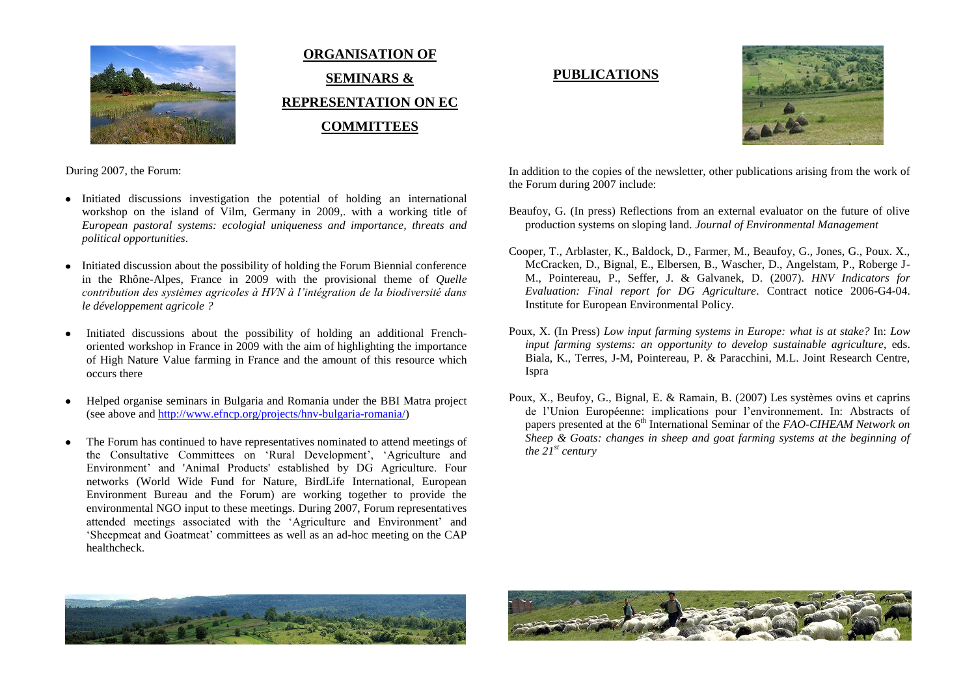

# **ORGANISATION OF SEMINARS & REPRESENTATION ON EC COMMITTEES**

## **PUBLICATIONS**



During 2007, the Forum:

- Initiated discussions investigation the potential of holding an international workshop on the island of Vilm, Germany in 2009, with a working title of *European pastoral systems: ecologial uniqueness and importance, threats and political opportunities*.
- Initiated discussion about the possibility of holding the Forum Biennial conference in the Rhône-Alpes, France in 2009 with the provisional theme of *Quelle contribution des systèmes agricoles à HVN à l'intégration de la biodiversité dans le développement agricole ?*
- Initiated discussions about the possibility of holding an additional Frenchoriented workshop in France in 2009 with the aim of highlighting the importance of High Nature Value farming in France and the amount of this resource which occurs there
- Helped organise seminars in Bulgaria and Romania under the BBI Matra project  $\bullet$ (see above an[d http://www.efncp.org/projects/hnv-bulgaria-romania/\)](http://www.efncp.org/projects/hnv-bulgaria-romania/)
- The Forum has continued to have representatives nominated to attend meetings of the Consultative Committees on 'Rural Development', 'Agriculture and Environment" and 'Animal Products' established by DG Agriculture. Four networks (World Wide Fund for Nature, BirdLife International, European Environment Bureau and the Forum) are working together to provide the environmental NGO input to these meetings. During 2007, Forum representatives attended meetings associated with the "Agriculture and Environment" and "Sheepmeat and Goatmeat" committees as well as an ad-hoc meeting on the CAP healthcheck.

In addition to the copies of the newsletter, other publications arising from the work of the Forum during 2007 include:

- Beaufoy, G. (In press) Reflections from an external evaluator on the future of olive production systems on sloping land. *Journal of Environmental Management*
- Cooper, T., Arblaster, K., Baldock, D., Farmer, M., Beaufoy, G., Jones, G., Poux. X., McCracken, D., Bignal, E., Elbersen, B., Wascher, D., Angelstam, P., Roberge J-M., Pointereau, P., Seffer, J. & Galvanek, D. (2007). *HNV Indicators for Evaluation: Final report for DG Agriculture*. Contract notice 2006-G4-04. Institute for European Environmental Policy.
- Poux, X. (In Press) *Low input farming systems in Europe: what is at stake?* In: *Low input farming systems: an opportunity to develop sustainable agriculture*, eds. Biala, K., Terres, J-M, Pointereau, P. & Paracchini, M.L. Joint Research Centre, Ispra
- Poux, X., Beufoy, G., Bignal, E. & Ramain, B. (2007) Les systèmes ovins et caprins de l"Union Européenne: implications pour l"environnement. In: Abstracts of papers presented at the 6<sup>th</sup> International Seminar of the *FAO-CIHEAM Network on Sheep & Goats: changes in sheep and goat farming systems at the beginning of*   $the$   $21^{st}$  *century*